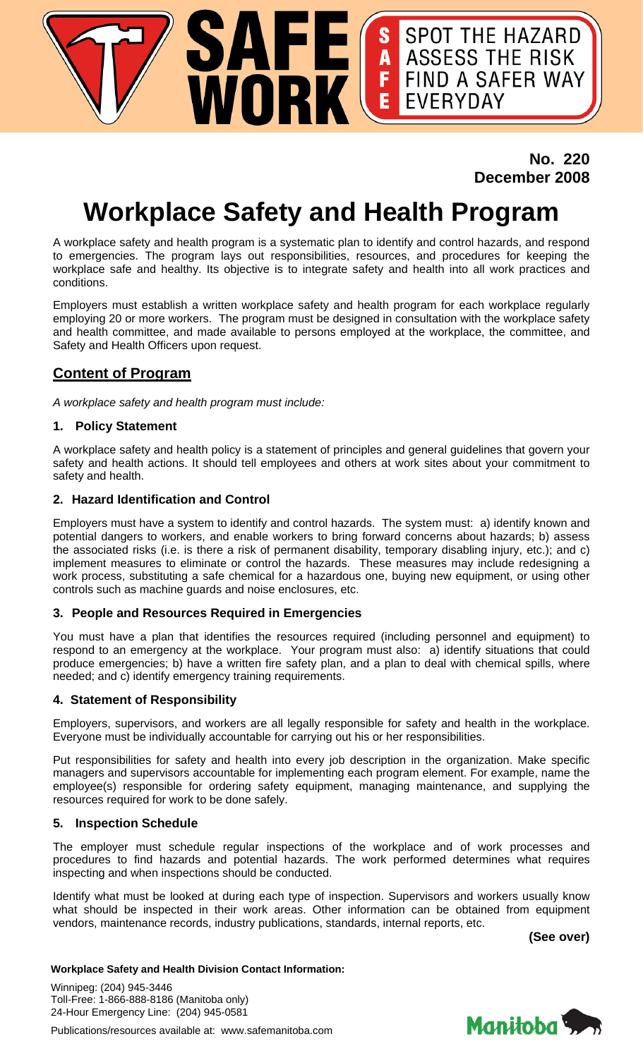## **No. 220 December 2008**

S SPOT THE HAZARD<br>A ASSESS THE RISK<br>F FIND A SAFER WAY<br>E EVERYDAY

# **Workplace Safety and Health Program**

**SAFE(**<br>WORK

A workplace safety and health program is a systematic plan to identify and control hazards, and respond to emergencies. The program lays out responsibilities, resources, and procedures for keeping the workplace safe and healthy. Its objective is to integrate safety and health into all work practices and conditions.

Employers must establish a written workplace safety and health program for each workplace regularly employing 20 or more workers. The program must be designed in consultation with the workplace safety and health committee, and made available to persons employed at the workplace, the committee, and Safety and Health Officers upon request.

### **Content of Program**

*A workplace safety and health program must include:* 

#### **1. Policy Statement**

A workplace safety and health policy is a statement of principles and general guidelines that govern your safety and health actions. It should tell employees and others at work sites about your commitment to safety and health.

#### **2. Hazard Identification and Control**

Employers must have a system to identify and control hazards. The system must: a) identify known and potential dangers to workers, and enable workers to bring forward concerns about hazards; b) assess the associated risks (i.e. is there a risk of permanent disability, temporary disabling injury, etc.); and c) implement measures to eliminate or control the hazards. These measures may include redesigning a work process, substituting a safe chemical for a hazardous one, buying new equipment, or using other controls such as machine guards and noise enclosures, etc.

#### **3. People and Resources Required in Emergencies**

You must have a plan that identifies the resources required (including personnel and equipment) to respond to an emergency at the workplace. Your program must also: a) identify situations that could produce emergencies; b) have a written fire safety plan, and a plan to deal with chemical spills, where needed; and c) identify emergency training requirements.

#### **4. Statement of Responsibility**

Employers, supervisors, and workers are all legally responsible for safety and health in the workplace. Everyone must be individually accountable for carrying out his or her responsibilities.

Put responsibilities for safety and health into every job description in the organization. Make specific managers and supervisors accountable for implementing each program element. For example, name the employee(s) responsible for ordering safety equipment, managing maintenance, and supplying the resources required for work to be done safely.

#### **5. Inspection Schedule**

The employer must schedule regular inspections of the workplace and of work processes and procedures to find hazards and potential hazards. The work performed determines what requires inspecting and when inspections should be conducted.

Identify what must be looked at during each type of inspection. Supervisors and workers usually know what should be inspected in their work areas. Other information can be obtained from equipment vendors, maintenance records, industry publications, standards, internal reports, etc.

**(See over)** 

#### **Workplace Safety and Health Division Contact Information:**

Winnipeg: (204) 945-3446 Toll-Free: 1-866-888-8186 (Manitoba only) 24-Hour Emergency Line: (204) 945-0581